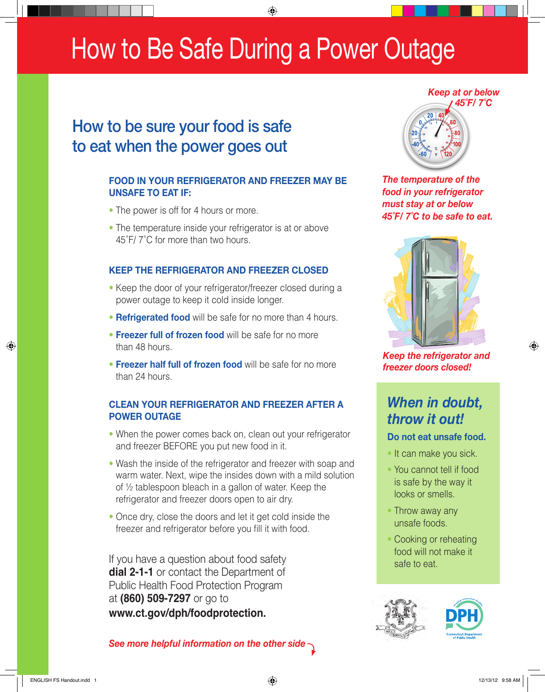## How to Be Safe During a Power Outage

## How to be sure your food is safe to eat when the power goes out

### **FOOD IN YOUR REFRIGERATOR AND FREEZER MAY BE UNSAFE TO EAT IF:**

- The power is off for 4 hours or more.
- The temperature inside your refrigerator is at or above 45˚F/ 7˚C for more than two hours.

### **KEEP THE REFRIGERATOR AND FREEZER CLOSED**

- Keep the door of your refrigerator/freezer closed during a power outage to keep it cold inside longer.
- **Refrigerated food** will be safe for no more than 4 hours.
- **Freezer full of frozen food** will be safe for no more than 48 hours.
- **Freezer half full of frozen food** will be safe for no more than 24 hours.

### **CLEAN YOUR REFRIGERATOR AND FREEZER AFTER A POWER OUTAGE**

- When the power comes back on, clean out your refrigerator and freezer BEFORE you put new food in it.
- Wash the inside of the refrigerator and freezer with soap and warm water. Next, wipe the insides down with a mild solution of ½ tablespoon bleach in a gallon of water. Keep the refrigerator and freezer doors open to air dry.
- Once dry, close the doors and let it get cold inside the freezer and refrigerator before you fill it with food.

If you have a question about food safety **dial 2-1-1** or contact the Department of Public Health Food Protection Program at **(860) 509-7297** or go to **www.ct.gov/dph/foodprotection.**





*The temperature of the food in your refrigerator must stay at or below 45˚F/ 7˚C to be safe to eat.*



*Keep the refrigerator and freezer doors closed!*

### *When in doubt, throw it out!*

### **Do not eat unsafe food.**

- It can make you sick.
- You cannot tell if food is safe by the way it looks or smells.
- Throw away any unsafe foods.
- Cooking or reheating food will not make it safe to eat.